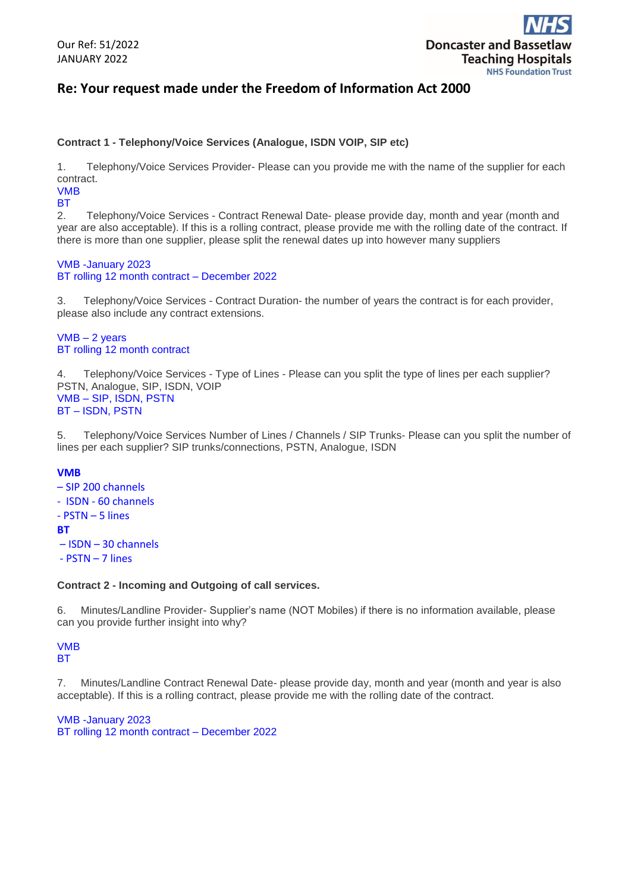

## **Re: Your request made under the Freedom of Information Act 2000**

#### **Contract 1 - Telephony/Voice Services (Analogue, ISDN VOIP, SIP etc)**

1. Telephony/Voice Services Provider- Please can you provide me with the name of the supplier for each contract.

### VMB

**BT** 

2. Telephony/Voice Services - Contract Renewal Date- please provide day, month and year (month and year are also acceptable). If this is a rolling contract, please provide me with the rolling date of the contract. If there is more than one supplier, please split the renewal dates up into however many suppliers

VMB -January 2023 BT rolling 12 month contract – December 2022

3. Telephony/Voice Services - Contract Duration- the number of years the contract is for each provider, please also include any contract extensions.

VMB – 2 years BT rolling 12 month contract

4. Telephony/Voice Services - Type of Lines - Please can you split the type of lines per each supplier? PSTN, Analogue, SIP, ISDN, VOIP VMB – SIP, ISDN, PSTN BT – ISDN, PSTN

5. Telephony/Voice Services Number of Lines / Channels / SIP Trunks- Please can you split the number of lines per each supplier? SIP trunks/connections, PSTN, Analogue, ISDN

#### **VMB**

- SIP 200 channels
- ISDN 60 channels
- PSTN 5 lines
- **BT**
- ISDN 30 channels
- PSTN 7 lines

#### **Contract 2 - Incoming and Outgoing of call services.**

6. Minutes/Landline Provider- Supplier's name (NOT Mobiles) if there is no information available, please can you provide further insight into why?

#### VMB **BT**

7. Minutes/Landline Contract Renewal Date- please provide day, month and year (month and year is also acceptable). If this is a rolling contract, please provide me with the rolling date of the contract.

VMB -January 2023 BT rolling 12 month contract – December 2022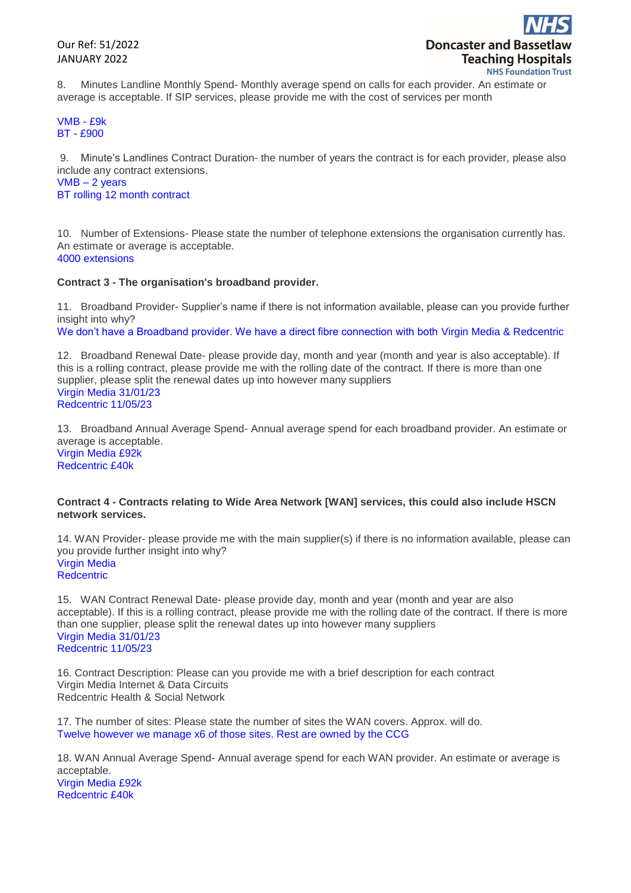Our Ref: 51/2022 JANUARY 2022

8. Minutes Landline Monthly Spend- Monthly average spend on calls for each provider. An estimate or average is acceptable. If SIP services, please provide me with the cost of services per month

VMB - £9k BT - £900

9. Minute's Landlines Contract Duration- the number of years the contract is for each provider, please also include any contract extensions.

VMB – 2 years BT rolling 12 month contract

10. Number of Extensions- Please state the number of telephone extensions the organisation currently has. An estimate or average is acceptable. 4000 extensions

#### **Contract 3 - The organisation's broadband provider.**

11. Broadband Provider- Supplier's name if there is not information available, please can you provide further insight into why?

We don't have a Broadband provider. We have a direct fibre connection with both Virgin Media & Redcentric

12. Broadband Renewal Date- please provide day, month and year (month and year is also acceptable). If this is a rolling contract, please provide me with the rolling date of the contract. If there is more than one supplier, please split the renewal dates up into however many suppliers Virgin Media 31/01/23 Redcentric 11/05/23

13. Broadband Annual Average Spend- Annual average spend for each broadband provider. An estimate or average is acceptable. Virgin Media £92k Redcentric £40k

#### **Contract 4 - Contracts relating to Wide Area Network [WAN] services, this could also include HSCN network services.**

14. WAN Provider- please provide me with the main supplier(s) if there is no information available, please can you provide further insight into why? Virgin Media **Redcentric** 

15. WAN Contract Renewal Date- please provide day, month and year (month and year are also acceptable). If this is a rolling contract, please provide me with the rolling date of the contract. If there is more than one supplier, please split the renewal dates up into however many suppliers Virgin Media 31/01/23 Redcentric 11/05/23

16. Contract Description: Please can you provide me with a brief description for each contract Virgin Media Internet & Data Circuits Redcentric Health & Social Network

17. The number of sites: Please state the number of sites the WAN covers. Approx. will do. Twelve however we manage x6 of those sites. Rest are owned by the CCG

18. WAN Annual Average Spend- Annual average spend for each WAN provider. An estimate or average is acceptable. Virgin Media £92k Redcentric £40k